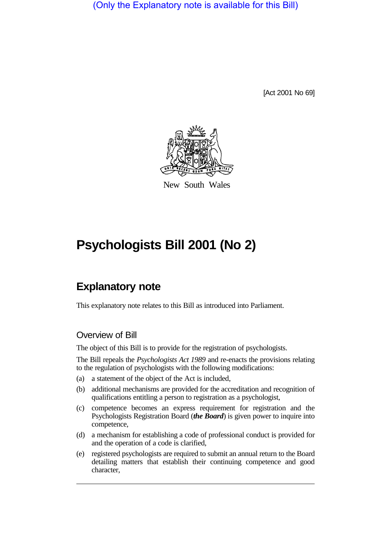(Only the Explanatory note is available for this Bill)

[Act 2001 No 69]



New South Wales

# **Psychologists Bill 2001 (No 2)**

## **Explanatory note**

This explanatory note relates to this Bill as introduced into Parliament.

### Overview of Bill

The object of this Bill is to provide for the registration of psychologists.

The Bill repeals the *Psychologists Act 1989* and re-enacts the provisions relating to the regulation of psychologists with the following modifications:

- (a) a statement of the object of the Act is included,
- (b) additional mechanisms are provided for the accreditation and recognition of qualifications entitling a person to registration as a psychologist,
- (c) competence becomes an express requirement for registration and the Psychologists Registration Board (*the Board*) is given power to inquire into competence,
- (d) a mechanism for establishing a code of professional conduct is provided for and the operation of a code is clarified,
- (e) registered psychologists are required to submit an annual return to the Board detailing matters that establish their continuing competence and good character,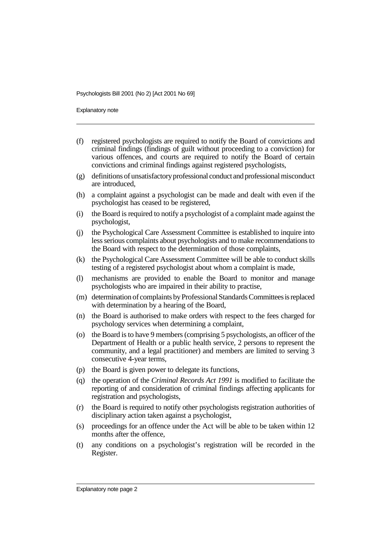Explanatory note

- (f) registered psychologists are required to notify the Board of convictions and criminal findings (findings of guilt without proceeding to a conviction) for various offences, and courts are required to notify the Board of certain convictions and criminal findings against registered psychologists,
- (g) definitions of unsatisfactory professional conduct and professional misconduct are introduced,
- (h) a complaint against a psychologist can be made and dealt with even if the psychologist has ceased to be registered,
- (i) the Board is required to notify a psychologist of a complaint made against the psychologist,
- (j) the Psychological Care Assessment Committee is established to inquire into less serious complaints about psychologists and to make recommendations to the Board with respect to the determination of those complaints,
- (k) the Psychological Care Assessment Committee will be able to conduct skills testing of a registered psychologist about whom a complaint is made,
- (l) mechanisms are provided to enable the Board to monitor and manage psychologists who are impaired in their ability to practise,
- (m) determination of complaints by Professional Standards Committees is replaced with determination by a hearing of the Board,
- (n) the Board is authorised to make orders with respect to the fees charged for psychology services when determining a complaint,
- (o) the Board is to have 9 members (comprising 5 psychologists, an officer of the Department of Health or a public health service, 2 persons to represent the community, and a legal practitioner) and members are limited to serving 3 consecutive 4-year terms,
- (p) the Board is given power to delegate its functions,
- (q) the operation of the *Criminal Records Act 1991* is modified to facilitate the reporting of and consideration of criminal findings affecting applicants for registration and psychologists,
- (r) the Board is required to notify other psychologists registration authorities of disciplinary action taken against a psychologist,
- (s) proceedings for an offence under the Act will be able to be taken within 12 months after the offence,
- (t) any conditions on a psychologist's registration will be recorded in the Register.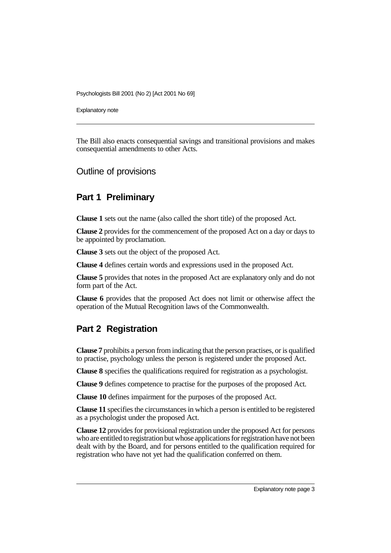Explanatory note

The Bill also enacts consequential savings and transitional provisions and makes consequential amendments to other Acts.

Outline of provisions

### **Part 1 Preliminary**

**Clause 1** sets out the name (also called the short title) of the proposed Act.

**Clause 2** provides for the commencement of the proposed Act on a day or days to be appointed by proclamation.

**Clause 3** sets out the object of the proposed Act.

**Clause 4** defines certain words and expressions used in the proposed Act.

**Clause 5** provides that notes in the proposed Act are explanatory only and do not form part of the Act.

**Clause 6** provides that the proposed Act does not limit or otherwise affect the operation of the Mutual Recognition laws of the Commonwealth.

### **Part 2 Registration**

**Clause 7** prohibits a person from indicating that the person practises, or is qualified to practise, psychology unless the person is registered under the proposed Act.

**Clause 8** specifies the qualifications required for registration as a psychologist.

**Clause 9** defines competence to practise for the purposes of the proposed Act.

**Clause 10** defines impairment for the purposes of the proposed Act.

**Clause 11** specifies the circumstances in which a person is entitled to be registered as a psychologist under the proposed Act.

**Clause 12** provides for provisional registration under the proposed Act for persons who are entitled to registration but whose applications for registration have not been dealt with by the Board, and for persons entitled to the qualification required for registration who have not yet had the qualification conferred on them.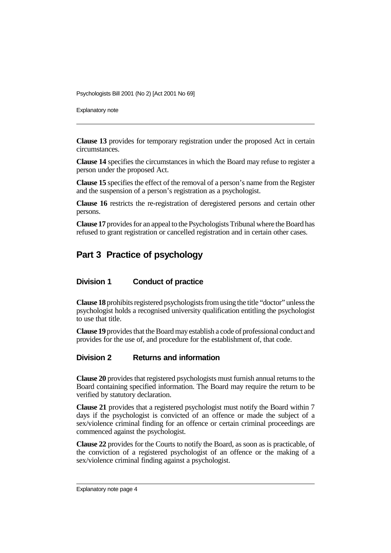Explanatory note

**Clause 13** provides for temporary registration under the proposed Act in certain circumstances.

**Clause 14** specifies the circumstances in which the Board may refuse to register a person under the proposed Act.

**Clause 15** specifies the effect of the removal of a person's name from the Register and the suspension of a person's registration as a psychologist.

**Clause 16** restricts the re-registration of deregistered persons and certain other persons.

**Clause 17** provides for an appeal to the Psychologists Tribunal where the Board has refused to grant registration or cancelled registration and in certain other cases.

### **Part 3 Practice of psychology**

### **Division 1 Conduct of practice**

**Clause 18** prohibits registered psychologists from using the title "doctor" unless the psychologist holds a recognised university qualification entitling the psychologist to use that title.

**Clause 19** provides that the Board may establish a code of professional conduct and provides for the use of, and procedure for the establishment of, that code.

#### **Division 2 Returns and information**

**Clause 20** provides that registered psychologists must furnish annual returns to the Board containing specified information. The Board may require the return to be verified by statutory declaration.

**Clause 21** provides that a registered psychologist must notify the Board within 7 days if the psychologist is convicted of an offence or made the subject of a sex/violence criminal finding for an offence or certain criminal proceedings are commenced against the psychologist.

**Clause 22** provides for the Courts to notify the Board, as soon as is practicable, of the conviction of a registered psychologist of an offence or the making of a sex/violence criminal finding against a psychologist.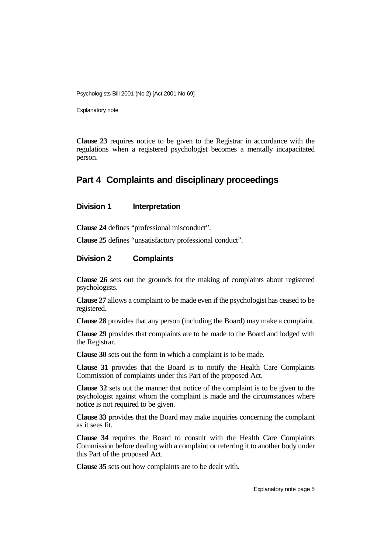Explanatory note

**Clause 23** requires notice to be given to the Registrar in accordance with the regulations when a registered psychologist becomes a mentally incapacitated person.

### **Part 4 Complaints and disciplinary proceedings**

#### **Division 1 Interpretation**

**Clause 24** defines "professional misconduct".

**Clause 25** defines "unsatisfactory professional conduct".

#### **Division 2 Complaints**

**Clause 26** sets out the grounds for the making of complaints about registered psychologists.

**Clause 27** allows a complaint to be made even if the psychologist has ceased to be registered.

**Clause 28** provides that any person (including the Board) may make a complaint.

**Clause 29** provides that complaints are to be made to the Board and lodged with the Registrar.

**Clause 30** sets out the form in which a complaint is to be made.

**Clause 31** provides that the Board is to notify the Health Care Complaints Commission of complaints under this Part of the proposed Act.

**Clause 32** sets out the manner that notice of the complaint is to be given to the psychologist against whom the complaint is made and the circumstances where notice is not required to be given.

**Clause 33** provides that the Board may make inquiries concerning the complaint as it sees fit.

**Clause 34** requires the Board to consult with the Health Care Complaints Commission before dealing with a complaint or referring it to another body under this Part of the proposed Act.

**Clause 35** sets out how complaints are to be dealt with.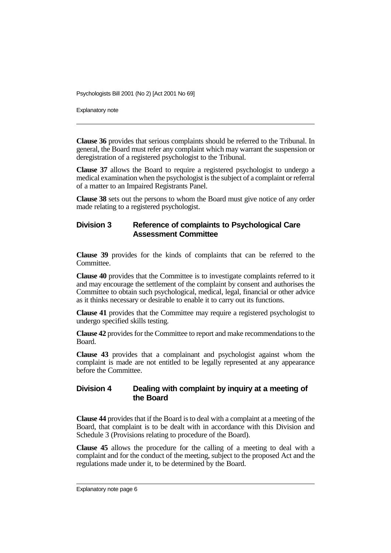Explanatory note

**Clause 36** provides that serious complaints should be referred to the Tribunal. In general, the Board must refer any complaint which may warrant the suspension or deregistration of a registered psychologist to the Tribunal.

**Clause 37** allows the Board to require a registered psychologist to undergo a medical examination when the psychologist is the subject of a complaint or referral of a matter to an Impaired Registrants Panel.

**Clause 38** sets out the persons to whom the Board must give notice of any order made relating to a registered psychologist.

#### **Division 3 Reference of complaints to Psychological Care Assessment Committee**

**Clause 39** provides for the kinds of complaints that can be referred to the Committee.

**Clause 40** provides that the Committee is to investigate complaints referred to it and may encourage the settlement of the complaint by consent and authorises the Committee to obtain such psychological, medical, legal, financial or other advice as it thinks necessary or desirable to enable it to carry out its functions.

**Clause 41** provides that the Committee may require a registered psychologist to undergo specified skills testing.

**Clause 42** provides for the Committee to report and make recommendations to the Board.

**Clause 43** provides that a complainant and psychologist against whom the complaint is made are not entitled to be legally represented at any appearance before the Committee.

#### **Division 4 Dealing with complaint by inquiry at a meeting of the Board**

**Clause 44** provides that if the Board is to deal with a complaint at a meeting of the Board, that complaint is to be dealt with in accordance with this Division and Schedule 3 (Provisions relating to procedure of the Board).

**Clause 45** allows the procedure for the calling of a meeting to deal with a complaint and for the conduct of the meeting, subject to the proposed Act and the regulations made under it, to be determined by the Board.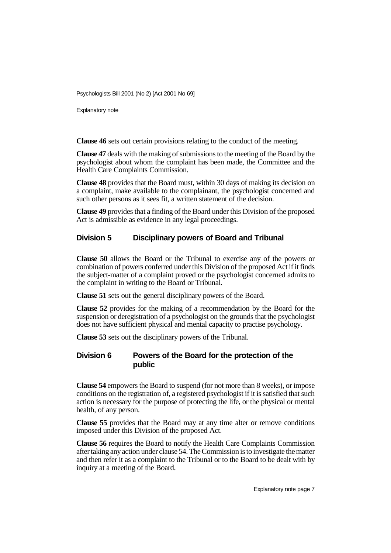Explanatory note

**Clause 46** sets out certain provisions relating to the conduct of the meeting.

**Clause 47** deals with the making of submissions to the meeting of the Board by the psychologist about whom the complaint has been made, the Committee and the Health Care Complaints Commission.

**Clause 48** provides that the Board must, within 30 days of making its decision on a complaint, make available to the complainant, the psychologist concerned and such other persons as it sees fit, a written statement of the decision.

**Clause 49** provides that a finding of the Board under this Division of the proposed Act is admissible as evidence in any legal proceedings.

### **Division 5 Disciplinary powers of Board and Tribunal**

**Clause 50** allows the Board or the Tribunal to exercise any of the powers or combination of powers conferred under this Division of the proposed Act if it finds the subject-matter of a complaint proved or the psychologist concerned admits to the complaint in writing to the Board or Tribunal.

**Clause 51** sets out the general disciplinary powers of the Board.

**Clause 52** provides for the making of a recommendation by the Board for the suspension or deregistration of a psychologist on the grounds that the psychologist does not have sufficient physical and mental capacity to practise psychology.

**Clause 53** sets out the disciplinary powers of the Tribunal.

### **Division 6 Powers of the Board for the protection of the public**

**Clause 54** empowers the Board to suspend (for not more than 8 weeks), or impose conditions on the registration of, a registered psychologist if it is satisfied that such action is necessary for the purpose of protecting the life, or the physical or mental health, of any person.

**Clause 55** provides that the Board may at any time alter or remove conditions imposed under this Division of the proposed Act.

**Clause 56** requires the Board to notify the Health Care Complaints Commission after taking any action under clause 54. The Commission is to investigate the matter and then refer it as a complaint to the Tribunal or to the Board to be dealt with by inquiry at a meeting of the Board.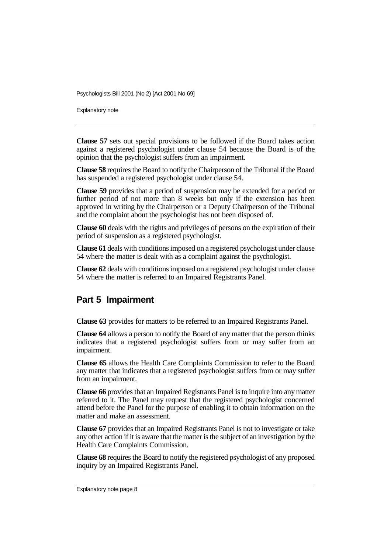Explanatory note

**Clause 57** sets out special provisions to be followed if the Board takes action against a registered psychologist under clause 54 because the Board is of the opinion that the psychologist suffers from an impairment.

**Clause 58** requires the Board to notify the Chairperson of the Tribunal if the Board has suspended a registered psychologist under clause 54.

**Clause 59** provides that a period of suspension may be extended for a period or further period of not more than 8 weeks but only if the extension has been approved in writing by the Chairperson or a Deputy Chairperson of the Tribunal and the complaint about the psychologist has not been disposed of.

**Clause 60** deals with the rights and privileges of persons on the expiration of their period of suspension as a registered psychologist.

**Clause 61** deals with conditions imposed on a registered psychologist under clause 54 where the matter is dealt with as a complaint against the psychologist.

**Clause 62** deals with conditions imposed on a registered psychologist under clause 54 where the matter is referred to an Impaired Registrants Panel.

### **Part 5 Impairment**

**Clause 63** provides for matters to be referred to an Impaired Registrants Panel.

**Clause 64** allows a person to notify the Board of any matter that the person thinks indicates that a registered psychologist suffers from or may suffer from an impairment.

**Clause 65** allows the Health Care Complaints Commission to refer to the Board any matter that indicates that a registered psychologist suffers from or may suffer from an impairment.

**Clause 66** provides that an Impaired Registrants Panel is to inquire into any matter referred to it. The Panel may request that the registered psychologist concerned attend before the Panel for the purpose of enabling it to obtain information on the matter and make an assessment.

**Clause 67** provides that an Impaired Registrants Panel is not to investigate or take any other action if it is aware that the matter is the subject of an investigation by the Health Care Complaints Commission.

**Clause 68** requires the Board to notify the registered psychologist of any proposed inquiry by an Impaired Registrants Panel.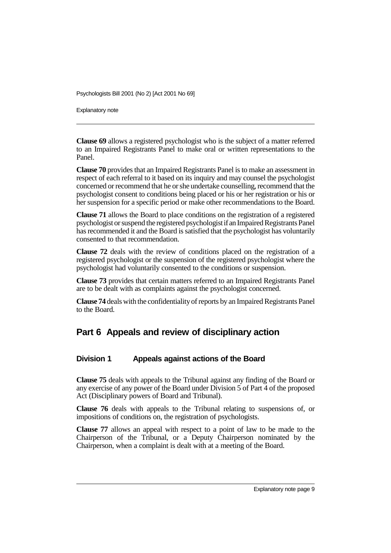Explanatory note

**Clause 69** allows a registered psychologist who is the subject of a matter referred to an Impaired Registrants Panel to make oral or written representations to the Panel.

**Clause 70** provides that an Impaired Registrants Panel is to make an assessment in respect of each referral to it based on its inquiry and may counsel the psychologist concerned or recommend that he or she undertake counselling, recommend that the psychologist consent to conditions being placed or his or her registration or his or her suspension for a specific period or make other recommendations to the Board.

**Clause 71** allows the Board to place conditions on the registration of a registered psychologist or suspend the registered psychologist if an Impaired Registrants Panel has recommended it and the Board is satisfied that the psychologist has voluntarily consented to that recommendation.

**Clause 72** deals with the review of conditions placed on the registration of a registered psychologist or the suspension of the registered psychologist where the psychologist had voluntarily consented to the conditions or suspension.

**Clause 73** provides that certain matters referred to an Impaired Registrants Panel are to be dealt with as complaints against the psychologist concerned.

**Clause 74** deals with the confidentiality of reports by an Impaired Registrants Panel to the Board.

### **Part 6 Appeals and review of disciplinary action**

### **Division 1 Appeals against actions of the Board**

**Clause 75** deals with appeals to the Tribunal against any finding of the Board or any exercise of any power of the Board under Division 5 of Part 4 of the proposed Act (Disciplinary powers of Board and Tribunal).

**Clause 76** deals with appeals to the Tribunal relating to suspensions of, or impositions of conditions on, the registration of psychologists.

**Clause 77** allows an appeal with respect to a point of law to be made to the Chairperson of the Tribunal, or a Deputy Chairperson nominated by the Chairperson, when a complaint is dealt with at a meeting of the Board.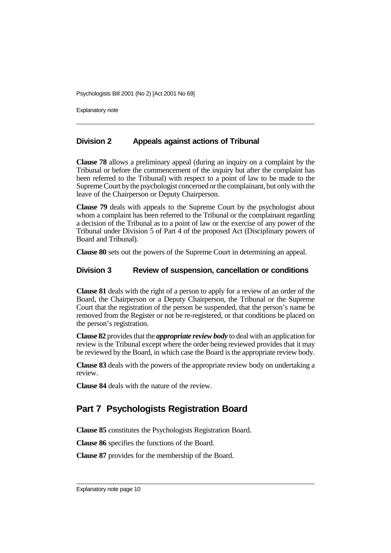Explanatory note

#### **Division 2 Appeals against actions of Tribunal**

**Clause 78** allows a preliminary appeal (during an inquiry on a complaint by the Tribunal or before the commencement of the inquiry but after the complaint has been referred to the Tribunal) with respect to a point of law to be made to the Supreme Court by the psychologist concerned or the complainant, but only with the leave of the Chairperson or Deputy Chairperson.

**Clause 79** deals with appeals to the Supreme Court by the psychologist about whom a complaint has been referred to the Tribunal or the complainant regarding a decision of the Tribunal as to a point of law or the exercise of any power of the Tribunal under Division 5 of Part 4 of the proposed Act (Disciplinary powers of Board and Tribunal).

**Clause 80** sets out the powers of the Supreme Court in determining an appeal.

#### **Division 3 Review of suspension, cancellation or conditions**

**Clause 81** deals with the right of a person to apply for a review of an order of the Board, the Chairperson or a Deputy Chairperson, the Tribunal or the Supreme Court that the registration of the person be suspended, that the person's name be removed from the Register or not be re-registered, or that conditions be placed on the person's registration.

**Clause 82** provides that the *appropriate review body* to deal with an application for review is the Tribunal except where the order being reviewed provides that it may be reviewed by the Board, in which case the Board is the appropriate review body.

**Clause 83** deals with the powers of the appropriate review body on undertaking a review.

**Clause 84** deals with the nature of the review.

### **Part 7 Psychologists Registration Board**

**Clause 85** constitutes the Psychologists Registration Board.

**Clause 86** specifies the functions of the Board.

**Clause 87** provides for the membership of the Board.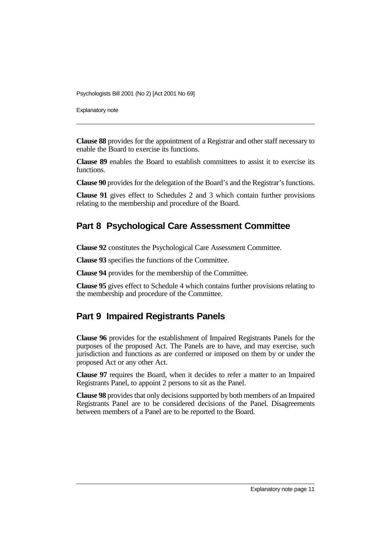Explanatory note

**Clause 88** provides for the appointment of a Registrar and other staff necessary to enable the Board to exercise its functions.

**Clause 89** enables the Board to establish committees to assist it to exercise its functions.

**Clause 90** provides for the delegation of the Board's and the Registrar's functions.

**Clause 91** gives effect to Schedules 2 and 3 which contain further provisions relating to the membership and procedure of the Board.

### **Part 8 Psychological Care Assessment Committee**

**Clause 92** constitutes the Psychological Care Assessment Committee.

**Clause 93** specifies the functions of the Committee.

**Clause 94** provides for the membership of the Committee.

**Clause 95** gives effect to Schedule 4 which contains further provisions relating to the membership and procedure of the Committee.

### **Part 9 Impaired Registrants Panels**

**Clause 96** provides for the establishment of Impaired Registrants Panels for the purposes of the proposed Act. The Panels are to have, and may exercise, such jurisdiction and functions as are conferred or imposed on them by or under the proposed Act or any other Act.

**Clause 97** requires the Board, when it decides to refer a matter to an Impaired Registrants Panel, to appoint 2 persons to sit as the Panel.

**Clause 98** provides that only decisions supported by both members of an Impaired Registrants Panel are to be considered decisions of the Panel. Disagreements between members of a Panel are to be reported to the Board.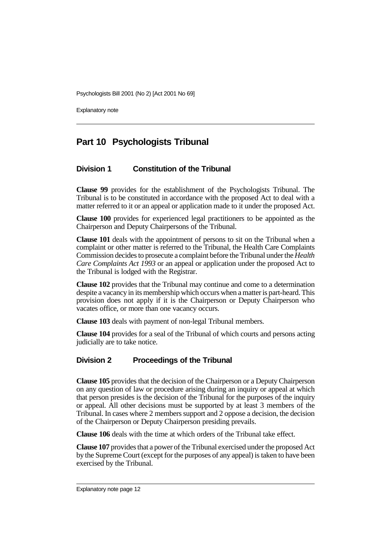Explanatory note

### **Part 10 Psychologists Tribunal**

#### **Division 1 Constitution of the Tribunal**

**Clause 99** provides for the establishment of the Psychologists Tribunal. The Tribunal is to be constituted in accordance with the proposed Act to deal with a matter referred to it or an appeal or application made to it under the proposed Act.

**Clause 100** provides for experienced legal practitioners to be appointed as the Chairperson and Deputy Chairpersons of the Tribunal.

**Clause 101** deals with the appointment of persons to sit on the Tribunal when a complaint or other matter is referred to the Tribunal, the Health Care Complaints Commission decides to prosecute a complaint before the Tribunal under the *Health Care Complaints Act 1993* or an appeal or application under the proposed Act to the Tribunal is lodged with the Registrar.

**Clause 102** provides that the Tribunal may continue and come to a determination despite a vacancy in its membership which occurs when a matter is part-heard. This provision does not apply if it is the Chairperson or Deputy Chairperson who vacates office, or more than one vacancy occurs.

**Clause 103** deals with payment of non-legal Tribunal members.

**Clause 104** provides for a seal of the Tribunal of which courts and persons acting judicially are to take notice.

#### **Division 2 Proceedings of the Tribunal**

**Clause 105** provides that the decision of the Chairperson or a Deputy Chairperson on any question of law or procedure arising during an inquiry or appeal at which that person presides is the decision of the Tribunal for the purposes of the inquiry or appeal. All other decisions must be supported by at least 3 members of the Tribunal. In cases where 2 members support and 2 oppose a decision, the decision of the Chairperson or Deputy Chairperson presiding prevails.

**Clause 106** deals with the time at which orders of the Tribunal take effect.

**Clause 107** provides that a power of the Tribunal exercised under the proposed Act by the Supreme Court (except for the purposes of any appeal) is taken to have been exercised by the Tribunal.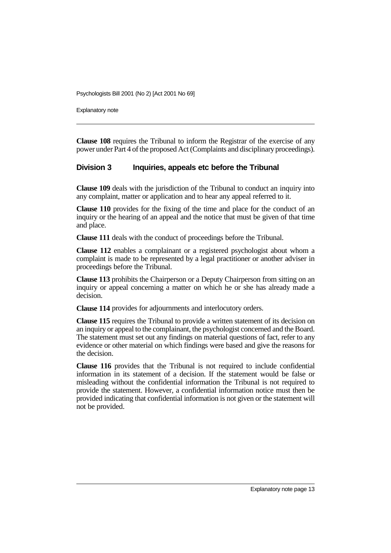Explanatory note

**Clause 108** requires the Tribunal to inform the Registrar of the exercise of any power under Part 4 of the proposed Act (Complaints and disciplinary proceedings).

#### **Division 3 Inquiries, appeals etc before the Tribunal**

**Clause 109** deals with the jurisdiction of the Tribunal to conduct an inquiry into any complaint, matter or application and to hear any appeal referred to it.

**Clause 110** provides for the fixing of the time and place for the conduct of an inquiry or the hearing of an appeal and the notice that must be given of that time and place.

**Clause 111** deals with the conduct of proceedings before the Tribunal.

**Clause 112** enables a complainant or a registered psychologist about whom a complaint is made to be represented by a legal practitioner or another adviser in proceedings before the Tribunal.

**Clause 113** prohibits the Chairperson or a Deputy Chairperson from sitting on an inquiry or appeal concerning a matter on which he or she has already made a decision.

**Clause 114** provides for adjournments and interlocutory orders.

**Clause 115** requires the Tribunal to provide a written statement of its decision on an inquiry or appeal to the complainant, the psychologist concerned and the Board. The statement must set out any findings on material questions of fact, refer to any evidence or other material on which findings were based and give the reasons for the decision.

**Clause 116** provides that the Tribunal is not required to include confidential information in its statement of a decision. If the statement would be false or misleading without the confidential information the Tribunal is not required to provide the statement. However, a confidential information notice must then be provided indicating that confidential information is not given or the statement will not be provided.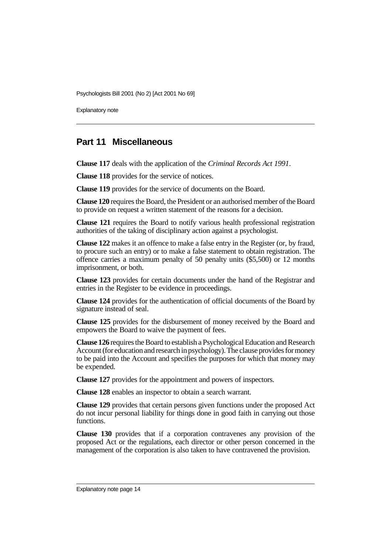Explanatory note

### **Part 11 Miscellaneous**

**Clause 117** deals with the application of the *Criminal Records Act 1991*.

**Clause 118** provides for the service of notices.

**Clause 119** provides for the service of documents on the Board.

**Clause 120** requires the Board, the President or an authorised member of the Board to provide on request a written statement of the reasons for a decision.

**Clause 121** requires the Board to notify various health professional registration authorities of the taking of disciplinary action against a psychologist.

**Clause 122** makes it an offence to make a false entry in the Register (or, by fraud, to procure such an entry) or to make a false statement to obtain registration. The offence carries a maximum penalty of 50 penalty units (\$5,500) or 12 months imprisonment, or both.

**Clause 123** provides for certain documents under the hand of the Registrar and entries in the Register to be evidence in proceedings.

**Clause 124** provides for the authentication of official documents of the Board by signature instead of seal.

**Clause 125** provides for the disbursement of money received by the Board and empowers the Board to waive the payment of fees.

**Clause 126** requires the Board to establish a Psychological Education and Research Account (for education and research in psychology). The clause provides for money to be paid into the Account and specifies the purposes for which that money may be expended.

**Clause 127** provides for the appointment and powers of inspectors.

**Clause 128** enables an inspector to obtain a search warrant.

**Clause 129** provides that certain persons given functions under the proposed Act do not incur personal liability for things done in good faith in carrying out those functions.

**Clause 130** provides that if a corporation contravenes any provision of the proposed Act or the regulations, each director or other person concerned in the management of the corporation is also taken to have contravened the provision.

Explanatory note page 14